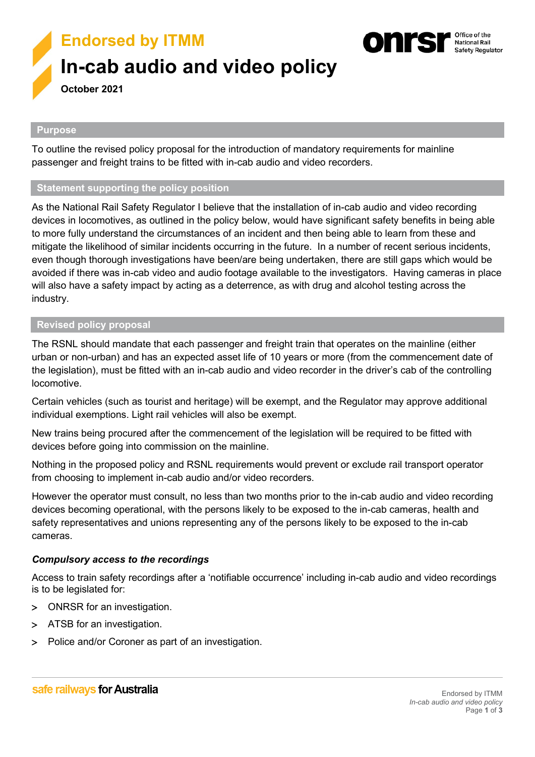

#### Office of the **National Rail** Safety Regulator

#### **Purpose**

To outline the revised policy proposal for the introduction of mandatory requirements for mainline passenger and freight trains to be fitted with in-cab audio and video recorders.

#### **Statement supporting the policy position**

As the National Rail Safety Regulator I believe that the installation of in-cab audio and video recording devices in locomotives, as outlined in the policy below, would have significant safety benefits in being able to more fully understand the circumstances of an incident and then being able to learn from these and mitigate the likelihood of similar incidents occurring in the future. In a number of recent serious incidents, even though thorough investigations have been/are being undertaken, there are still gaps which would be avoided if there was in-cab video and audio footage available to the investigators. Having cameras in place will also have a safety impact by acting as a deterrence, as with drug and alcohol testing across the industry.

#### **Revised policy proposal**

The RSNL should mandate that each passenger and freight train that operates on the mainline (either urban or non-urban) and has an expected asset life of 10 years or more (from the commencement date of the legislation), must be fitted with an in-cab audio and video recorder in the driver's cab of the controlling locomotive.

Certain vehicles (such as tourist and heritage) will be exempt, and the Regulator may approve additional individual exemptions. Light rail vehicles will also be exempt.

New trains being procured after the commencement of the legislation will be required to be fitted with devices before going into commission on the mainline.

Nothing in the proposed policy and RSNL requirements would prevent or exclude rail transport operator from choosing to implement in-cab audio and/or video recorders.

However the operator must consult, no less than two months prior to the in-cab audio and video recording devices becoming operational, with the persons likely to be exposed to the in-cab cameras, health and safety representatives and unions representing any of the persons likely to be exposed to the in-cab cameras.

### *Compulsory access to the recordings*

Access to train safety recordings after a 'notifiable occurrence' including in-cab audio and video recordings is to be legislated for:

- > ONRSR for an investigation.
- > ATSB for an investigation.
- > Police and/or Coroner as part of an investigation.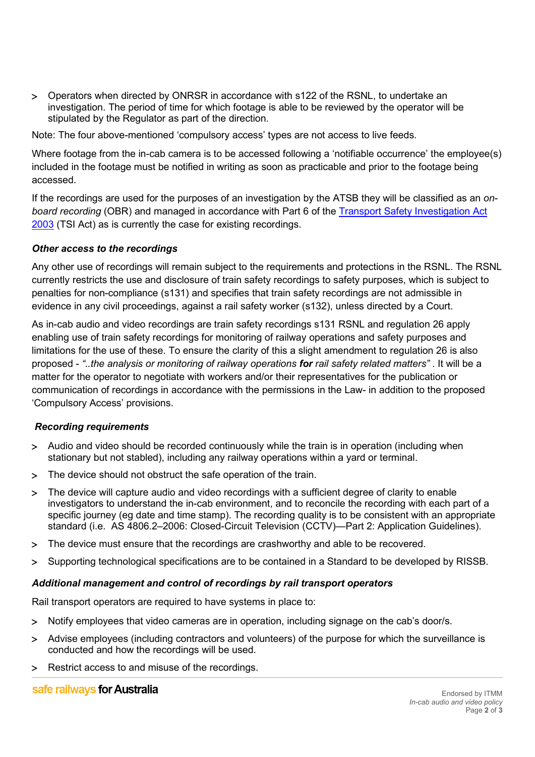> Operators when directed by ONRSR in accordance with s122 of the RSNL, to undertake an investigation. The period of time for which footage is able to be reviewed by the operator will be stipulated by the Regulator as part of the direction.

Note: The four above-mentioned 'compulsory access' types are not access to live feeds.

Where footage from the in-cab camera is to be accessed following a 'notifiable occurrence' the employee(s) included in the footage must be notified in writing as soon as practicable and prior to the footage being accessed.

If the recordings are used for the purposes of an investigation by the ATSB they will be classified as an *onboard recording* (OBR) and managed in accordance with Part 6 of the [Transport Safety Investigation Act](https://www.legislation.gov.au/Details/C2016C00617/Download)  [2003](https://www.legislation.gov.au/Details/C2016C00617/Download) (TSI Act) as is currently the case for existing recordings.

### *Other access to the recordings*

Any other use of recordings will remain subject to the requirements and protections in the RSNL. The RSNL currently restricts the use and disclosure of train safety recordings to safety purposes, which is subject to penalties for non-compliance (s131) and specifies that train safety recordings are not admissible in evidence in any civil proceedings, against a rail safety worker (s132), unless directed by a Court.

As in-cab audio and video recordings are train safety recordings s131 RSNL and regulation 26 apply enabling use of train safety recordings for monitoring of railway operations and safety purposes and limitations for the use of these. To ensure the clarity of this a slight amendment to regulation 26 is also proposed - *"..the analysis or monitoring of railway operations for rail safety related matters"* . It will be a matter for the operator to negotiate with workers and/or their representatives for the publication or communication of recordings in accordance with the permissions in the Law- in addition to the proposed 'Compulsory Access' provisions.

### *Recording requirements*

- > Audio and video should be recorded continuously while the train is in operation (including when stationary but not stabled), including any railway operations within a yard or terminal.
- > The device should not obstruct the safe operation of the train.
- > The device will capture audio and video recordings with a sufficient degree of clarity to enable investigators to understand the in-cab environment, and to reconcile the recording with each part of a specific journey (eg date and time stamp). The recording quality is to be consistent with an appropriate standard (i.e. AS 4806.2–2006: Closed-Circuit Television (CCTV)—Part 2: Application Guidelines).
- > The device must ensure that the recordings are crashworthy and able to be recovered.
- > Supporting technological specifications are to be contained in a Standard to be developed by RISSB.

### *Additional management and control of recordings by rail transport operators*

Rail transport operators are required to have systems in place to:

- > Notify employees that video cameras are in operation, including signage on the cab's door/s.
- > Advise employees (including contractors and volunteers) of the purpose for which the surveillance is conducted and how the recordings will be used.
- > Restrict access to and misuse of the recordings.

### safe railways for Australia